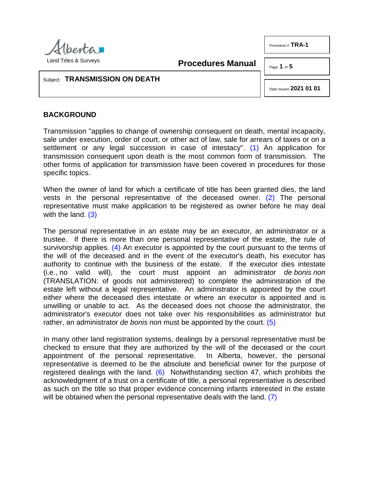

**Procedures Manual**

Page **1** of **5**

Procedure # **TRA-1** 

#### Subject: **TRANSMISSION ON DEATH**

<span id="page-0-1"></span><span id="page-0-0"></span>Date Issued **2021 01 01**

# **BACKGROUND**

Transmission "applies to change of ownership consequent on death, mental incapacity, sale under execution, order of court, or other act of law, sale for arrears of taxes or on a settlement or any legal succession in case of intestacy". [\(1\)](#page-3-0) An application for transmission consequent upon death is the most common form of transmission. The other forms of application for transmission have been covered in procedures for those specific topics.

When the owner of land for which a certificate of title has been granted dies, the land vests in the personal representative of the deceased owner. [\(2\)](#page-3-1) The personal representative must make application to be registered as owner before he may deal with the land.  $(3)$ 

<span id="page-0-3"></span><span id="page-0-2"></span>The personal representative in an estate may be an executor, an administrator or a trustee. If there is more than one personal representative of the estate, the rule of survivorship applies. [\(4\)](#page-3-3) An executor is appointed by the court pursuant to the terms of the will of the deceased and in the event of the executor's death, his executor has authority to continue with the business of the estate. If the executor dies intestate (i.e., no valid will), the court must appoint an administrator *de bonis non* (TRANSLATION: of goods not administered) to complete the administration of the estate left without a legal representative. An administrator is appointed by the court either where the deceased dies intestate or where an executor is appointed and is unwilling or unable to act. As the deceased does not choose the administrator, the administrator's executor does not take over his responsibilities as administrator but rather, an administrator *de bonis non* must be appointed by the court. [\(5\)](#page-3-4)

<span id="page-0-6"></span><span id="page-0-5"></span><span id="page-0-4"></span>In many other land registration systems, dealings by a personal representative must be checked to ensure that they are authorized by the will of the deceased or the court appointment of the personal representative. In Alberta, however, the personal representative is deemed to be the absolute and beneficial owner for the purpose of registered dealings with the land.  $(6)$  Notwithstanding section 47, which prohibits the acknowledgment of a trust on a certificate of title, a personal representative is described as such on the title so that proper evidence concerning infants interested in the estate will be obtained when the personal representative deals with the land. [\(7\)](#page-4-0)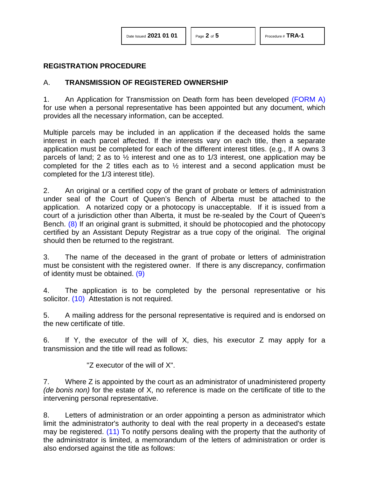## **REGISTRATION PROCEDURE**

# A. **TRANSMISSION OF REGISTERED OWNERSHIP**

1. An Application for Transmission on Death form has been developed [\(FORM A\)](http://www.servicealberta.ca/pdf/ltmanual/TRA-1-FORMA.PDF) for use when a personal representative has been appointed but any document, which provides all the necessary information, can be accepted.

Multiple parcels may be included in an application if the deceased holds the same interest in each parcel affected. If the interests vary on each title, then a separate application must be completed for each of the different interest titles. (e.g., If A owns 3 parcels of land; 2 as to ½ interest and one as to 1/3 interest, one application may be completed for the 2 titles each as to ½ interest and a second application must be completed for the 1/3 interest title).

<span id="page-1-0"></span>2. An original or a certified copy of the grant of probate or letters of administration under seal of the Court of Queen's Bench of Alberta must be attached to the application. A notarized copy or a photocopy is unacceptable. If it is issued from a court of a jurisdiction other than Alberta, it must be re-sealed by the Court of Queen's Bench. [\(8\)](#page-4-1) If an original grant is submitted, it should be photocopied and the photocopy certified by an Assistant Deputy Registrar as a true copy of the original. The original should then be returned to the registrant.

<span id="page-1-1"></span>3. The name of the deceased in the grant of probate or letters of administration must be consistent with the registered owner. If there is any discrepancy, confirmation of identity must be obtained.  $(9)$ 

<span id="page-1-2"></span>4. The application is to be completed by the personal representative or his solicitor. [\(10\)](#page-4-3) Attestation is not required.

5. A mailing address for the personal representative is required and is endorsed on the new certificate of title.

6. If Y, the executor of the will of X, dies, his executor Z may apply for a transmission and the title will read as follows:

"Z executor of the will of X".

7. Where Z is appointed by the court as an administrator of unadministered property *(de bonis non)* for the estate of X, no reference is made on the certificate of title to the intervening personal representative.

<span id="page-1-3"></span>8. Letters of administration or an order appointing a person as administrator which limit the administrator's authority to deal with the real property in a deceased's estate may be registered. [\(11\)](#page-4-4) To notify persons dealing with the property that the authority of the administrator is limited, a memorandum of the letters of administration or order is also endorsed against the title as follows: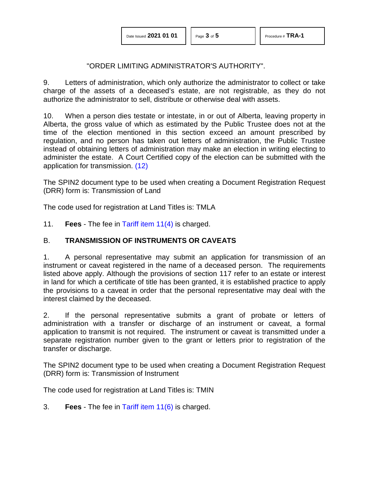#### "ORDER LIMITING ADMINISTRATOR'S AUTHORITY".

9. Letters of administration, which only authorize the administrator to collect or take charge of the assets of a deceased's estate, are not registrable, as they do not authorize the administrator to sell, distribute or otherwise deal with assets.

10. When a person dies testate or intestate, in or out of Alberta, leaving property in Alberta, the gross value of which as estimated by the Public Trustee does not at the time of the election mentioned in this section exceed an amount prescribed by regulation, and no person has taken out letters of administration, the Public Trustee instead of obtaining letters of administration may make an election in writing electing to administer the estate. A Court Certified copy of the election can be submitted with the application for transmission. [\(12\)](#page-4-5)

<span id="page-2-0"></span>The SPIN2 document type to be used when creating a Document Registration Request (DRR) form is: Transmission of Land

The code used for registration at Land Titles is: TMLA

11. **Fees** - The fee in [Tariff item 11\(4\)](http://www.servicealberta.ca/pdf/ltmanual/APPENDIXI.PDF) is charged.

### B. **TRANSMISSION OF INSTRUMENTS OR CAVEATS**

1. A personal representative may submit an application for transmission of an instrument or caveat registered in the name of a deceased person. The requirements listed above apply. Although the provisions of section 117 refer to an estate or interest in land for which a certificate of title has been granted, it is established practice to apply the provisions to a caveat in order that the personal representative may deal with the interest claimed by the deceased.

2. If the personal representative submits a grant of probate or letters of administration with a transfer or discharge of an instrument or caveat, a formal application to transmit is not required. The instrument or caveat is transmitted under a separate registration number given to the grant or letters prior to registration of the transfer or discharge.

The SPIN2 document type to be used when creating a Document Registration Request (DRR) form is: Transmission of Instrument

The code used for registration at Land Titles is: TMIN

3. **Fees** - The fee in [Tariff item 11\(6\)](http://www.servicealberta.ca/pdf/ltmanual/APPENDIXI.PDF) is charged.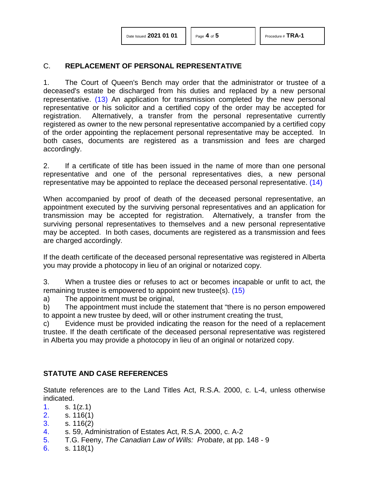## C. **REPLACEMENT OF PERSONAL REPRESENTATIVE**

<span id="page-3-6"></span>1. The Court of Queen's Bench may order that the administrator or trustee of a deceased's estate be discharged from his duties and replaced by a new personal representative. [\(13\)](#page-4-6) An application for transmission completed by the new personal representative or his solicitor and a certified copy of the order may be accepted for registration. Alternatively, a transfer from the personal representative currently registered as owner to the new personal representative accompanied by a certified copy of the order appointing the replacement personal representative may be accepted. In both cases, documents are registered as a transmission and fees are charged accordingly.

<span id="page-3-7"></span>2. If a certificate of title has been issued in the name of more than one personal representative and one of the personal representatives dies, a new personal representative may be appointed to replace the deceased personal representative. [\(14\)](#page-4-7)

When accompanied by proof of death of the deceased personal representative, an appointment executed by the surviving personal representatives and an application for transmission may be accepted for registration. Alternatively, a transfer from the surviving personal representatives to themselves and a new personal representative may be accepted. In both cases, documents are registered as a transmission and fees are charged accordingly.

If the death certificate of the deceased personal representative was registered in Alberta you may provide a photocopy in lieu of an original or notarized copy.

<span id="page-3-8"></span>3. When a trustee dies or refuses to act or becomes incapable or unfit to act, the remaining trustee is empowered to appoint new trustee(s). [\(15\)](#page-4-8)

a) The appointment must be original,

b) The appointment must include the statement that "there is no person empowered to appoint a new trustee by deed, will or other instrument creating the trust,

c) Evidence must be provided indicating the reason for the need of a replacement trustee. If the death certificate of the deceased personal representative was registered in Alberta you may provide a photocopy in lieu of an original or notarized copy.

### **STATUTE AND CASE REFERENCES**

Statute references are to the Land Titles Act, R.S.A. 2000, c. L-4, unless otherwise indicated.

- <span id="page-3-0"></span>[1.](#page-0-0) s. 1(z.1)
- <span id="page-3-1"></span>[2.](#page-0-1) s. 116(1)
- <span id="page-3-2"></span>[3.](#page-0-2) s. 116(2)
- <span id="page-3-3"></span>[4.](#page-0-3) s. 59, Administration of Estates Act, R.S.A. 2000, c. A-2
- <span id="page-3-4"></span>[5.](#page-0-4) T.G. Feeny, *The Canadian Law of Wills: Probate*, at pp. 148 - 9
- <span id="page-3-5"></span>[6.](#page-0-5) s. 118(1)